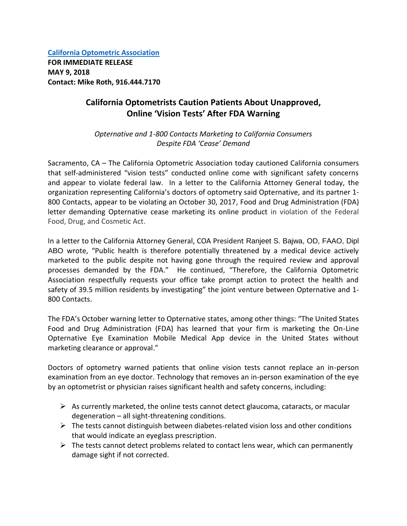**[California Optometric Association](https://www.coavision.org/i4a/pages/index.cfm?pageID=1) FOR IMMEDIATE RELEASE MAY 9, 2018 Contact: Mike Roth, 916.444.7170**

## **California Optometrists Caution Patients About Unapproved, Online 'Vision Tests' After FDA Warning**

*Opternative and 1-800 Contacts Marketing to California Consumers Despite FDA 'Cease' Demand*

Sacramento, CA – The California Optometric Association today cautioned California consumers that self-administered "vision tests" conducted online come with significant safety concerns and appear to violate federal law. In a letter to the California Attorney General today, the organization representing California's doctors of optometry said Opternative, and its partner 1- 800 Contacts, appear to be violating an October 30, 2017, Food and Drug Administration (FDA) letter demanding Opternative cease marketing its online product in violation of the Federal Food, Drug, and Cosmetic Act.

In a letter to the California Attorney General, COA President Ranjeet S. Bajwa, OD, FAAO, Dipl ABO wrote, "Public health is therefore potentially threatened by a medical device actively marketed to the public despite not having gone through the required review and approval processes demanded by the FDA." He continued, "Therefore, the California Optometric Association respectfully requests your office take prompt action to protect the health and safety of 39.5 million residents by investigating" the joint venture between Opternative and 1- 800 Contacts.

The FDA's October warning letter to Opternative states, among other things: "The United States Food and Drug Administration (FDA) has learned that your firm is marketing the On-Line Opternative Eye Examination Mobile Medical App device in the United States without marketing clearance or approval."

Doctors of optometry warned patients that online vision tests cannot replace an in-person examination from an eye doctor. Technology that removes an in-person examination of the eye by an optometrist or physician raises significant health and safety concerns, including:

- $\triangleright$  As currently marketed, the online tests cannot detect glaucoma, cataracts, or macular degeneration – all sight-threatening conditions.
- $\triangleright$  The tests cannot distinguish between diabetes-related vision loss and other conditions that would indicate an eyeglass prescription.
- $\triangleright$  The tests cannot detect problems related to contact lens wear, which can permanently damage sight if not corrected.